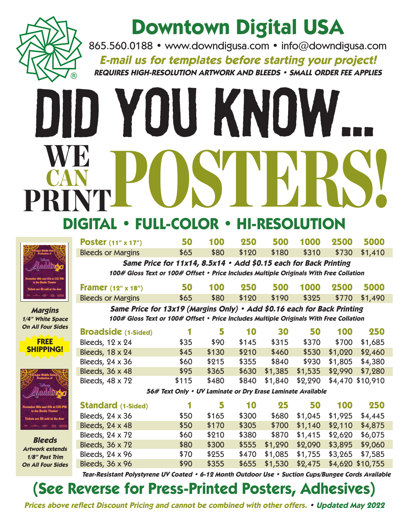

## **Downtown Digital USA**

865.560.0188 • www.downdigusa.com • info@downdigusa.com **E-mail us for templates before starting your project! REQUIRES HIGH-RESOLUTION ARTWORK AND BLEEDS • SMALL ORDER FEE APPLIES**

# Did You Know... WE POSTERS! CAN PRINT **DIGITAL • FULL-COLOR • HI-RESOLU**



**Margins 1/4" White Space On All Four Sides**

**CITY AND THE SHIPPING!** 

| <b>Poster</b> $(11" \times 17")$                                                       | 50   | 100  | 250   | 500 | 1000                      | 2500 | 5000 |  |  |  |  |
|----------------------------------------------------------------------------------------|------|------|-------|-----|---------------------------|------|------|--|--|--|--|
| <b>Bleeds or Margins</b>                                                               | \$65 | \$80 | \$120 |     | \$180 \$310 \$730 \$1,410 |      |      |  |  |  |  |
| Same Price for 11x14, 8.5x14 · Add \$0.15 each for Back Printing                       |      |      |       |     |                           |      |      |  |  |  |  |
| 100# Gloss Text or 100# Offset • Price Includes Multiple Originals With Free Collation |      |      |       |     |                           |      |      |  |  |  |  |
| Framer $(12" \times 18")$                                                              | 50   | 100  | 250   | 500 | 1000                      | 2500 | 5000 |  |  |  |  |

Bleeds or Margins  $$65$  \$80 \$120 \$190 \$325 \$770 \$1,490 **Same Price for 13x19 (Margins Only) • Add \$0.16 each for Back Printing 100# Gloss Text or 100# Offset • Price Includes Multiple Originals With Free Collation**

| <b>Broadside</b> (1-Sided) |       |       | 10    | 30      | 50              | 100                      | 250     |
|----------------------------|-------|-------|-------|---------|-----------------|--------------------------|---------|
| Bleeds, 12 x 24            | \$35  | \$90  | \$145 | \$315   | \$370           | \$700                    | \$1,685 |
| Bleeds, 18 x 24            | \$45  | \$130 | \$210 | \$460   | \$530           | \$1,020                  | \$2,460 |
| Bleeds, 24 x 36            | \$60  | \$215 | \$355 | \$840   |                 | \$930 \$1,805            | \$4,380 |
| Bleeds, 36 x 48            | \$95  | \$365 | \$630 | \$1,385 | \$1,535 \$2,990 |                          | \$7,280 |
| Bleeds, 48 x 72            | \$115 | \$480 | \$840 | \$1,840 |                 | \$2,290 \$4,470 \$10,910 |         |

**56# Text Only • UV Laminate or Dry Erase Laminate Available**

| November 16th and 17th at 7:00 PM                         | <b>Standard</b> (1-Sided) |      |       | 10    | 25      | 50                                     | 100     | 250             |
|-----------------------------------------------------------|---------------------------|------|-------|-------|---------|----------------------------------------|---------|-----------------|
| in the Studio Theater<br>Tickets are \$5 sold at the door | Bleeds, 24 x 36           | \$50 | \$165 | \$300 | \$680   | \$1,045                                | \$1,925 | \$4,445         |
| <b>Company of the Company of the Company</b>              | Bleeds, 24 x 48           | \$50 | \$170 | \$305 | \$700   | \$1,140                                | \$2,110 | \$4,875         |
|                                                           | Bleeds, 24 x 72           | \$60 | \$210 | \$380 |         | \$870 \$1,415 \$2,620                  |         | \$6,075         |
| <b>Bleeds</b><br><b>Artwork extends</b>                   | Bleeds, 36 x 72           | \$80 | \$300 | \$555 |         | \$1,290 \$2,090                        |         | \$3,895 \$9,060 |
| 1/8" Past Trim                                            | Bleeds, 24 x 96           | \$70 | \$255 | \$470 | \$1,085 | \$1,755                                |         | \$3,265 \$7,585 |
| <b>On All Four Sides</b>                                  | Bleeds, 36 x 96           | \$90 | \$355 |       |         | \$655 \$1,530 \$2,475 \$4,620 \$10,755 |         |                 |

**Tear-Resistant Polystyrene UV Coated • 6-12 Month Outdoor Use • Suction Cups/Bungee Cords Available**

### **(See Reverse for Press-Printed Posters, Adhesives)**

**Prices above reflect Discount Pricing and cannot be combined with other offers. • Updated May 2022**